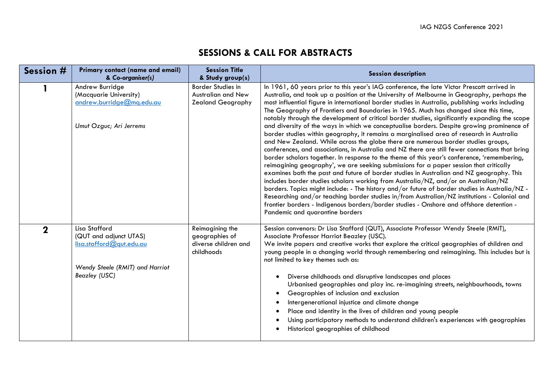## **SESSIONS & CALL FOR ABSTRACTS**

| Session #   | <b>Primary contact (name and email)</b><br>& Co-organiser(s)                                                            | <b>Session Title</b><br>& Study group(s)                                | <b>Session description</b>                                                                                                                                                                                                                                                                                                                                                                                                                                                                                                                                                                                                                                                                                                                                                                                                                                                                                                                                                                                                                                                                                                                                                                                                                                                                                                                                                                                                                                                                                                                                                          |
|-------------|-------------------------------------------------------------------------------------------------------------------------|-------------------------------------------------------------------------|-------------------------------------------------------------------------------------------------------------------------------------------------------------------------------------------------------------------------------------------------------------------------------------------------------------------------------------------------------------------------------------------------------------------------------------------------------------------------------------------------------------------------------------------------------------------------------------------------------------------------------------------------------------------------------------------------------------------------------------------------------------------------------------------------------------------------------------------------------------------------------------------------------------------------------------------------------------------------------------------------------------------------------------------------------------------------------------------------------------------------------------------------------------------------------------------------------------------------------------------------------------------------------------------------------------------------------------------------------------------------------------------------------------------------------------------------------------------------------------------------------------------------------------------------------------------------------------|
|             | Andrew Burridge<br>(Macquarie University)<br>andrew.burridge@mq.edu.au<br>Umut Ozguc; Ari Jerrems                       | Border Studies in<br>Australian and New<br><b>Zealand Geography</b>     | In 1961, 60 years prior to this year's IAG conference, the late Victor Prescott arrived in<br>Australia, and took up a position at the University of Melbourne in Geography, perhaps the<br>most influential figure in international border studies in Australia, publishing works including<br>The Geography of Frontiers and Boundaries in 1965. Much has changed since this time,<br>notably through the development of critical border studies, significantly expanding the scope<br>and diversity of the ways in which we conceptualise borders. Despite growing prominence of<br>border studies within geography, it remains a marginalised area of research in Australia<br>and New Zealand. While across the globe there are numerous border studies groups,<br>conferences, and associations, in Australia and NZ there are still fewer connections that bring<br>border scholars together. In response to the theme of this year's conference, 'remembering,<br>reimagining geography', we are seeking submissions for a paper session that critically<br>examines both the past and future of border studies in Australian and NZ geography. This<br>includes border studies scholars working from Australia/NZ, and/or on Australian/NZ<br>borders. Topics might include: - The history and/or future of border studies in Australia/NZ -<br>Researching and/or teaching border studies in/from Australian/NZ institutions - Colonial and<br>frontier borders - Indigenous borders/border studies - Onshore and offshore detention -<br>Pandemic and quarantine borders |
| $\mathbf 2$ | Lisa Stafford<br>(QUT and adjunct UTAS)<br>lisa.stafford@qut.edu.au<br>Wendy Steele (RMIT) and Harriot<br>Beazley (USC) | Reimagining the<br>geographies of<br>diverse children and<br>childhoods | Session convenors: Dr Lisa Stafford (QUT), Associate Professor Wendy Steele (RMIT),<br>Associate Professor Harriot Beazley (USC).<br>We invite papers and creative works that explore the critical geographies of children and<br>young people in a changing world through remembering and reimagining. This includes but is<br>not limited to key themes such as:<br>Diverse childhoods and disruptive landscapes and places<br>$\bullet$<br>Urbanised geographies and play inc. re-imagining streets, neighbourhoods, towns<br>Geographies of inclusion and exclusion<br>$\bullet$<br>Intergenerational injustice and climate change<br>$\bullet$<br>Place and identity in the lives of children and young people<br>Using participatory methods to understand children's experiences with geographies<br>Historical geographies of childhood                                                                                                                                                                                                                                                                                                                                                                                                                                                                                                                                                                                                                                                                                                                                     |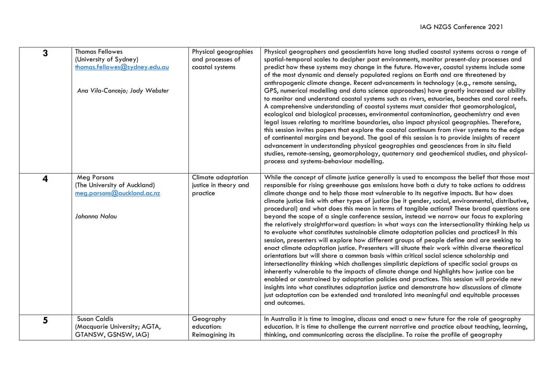| 3 | <b>Thomas Fellowes</b><br>(University of Sydney)<br>thomas.fellowes@sydney.edu.au<br>Ana Vila-Concejo; Jody Webster | Physical geographies<br>and processes of<br>coastal systems | Physical geographers and geoscientists have long studied coastal systems across a range of<br>spatial-temporal scales to decipher past environments, monitor present-day processes and<br>predict how these systems may change in the future. However, coastal systems include some<br>of the most dynamic and densely populated regions on Earth and are threatened by<br>anthropogenic climate change. Recent advancements in technology (e.g., remote sensing,<br>GPS, numerical modelling and data science approaches) have greatly increased our ability<br>to monitor and understand coastal systems such as rivers, estuaries, beaches and coral reefs.<br>A comprehensive understanding of coastal systems must consider that geomorphological,<br>ecological and biological processes, environmental contamination, geochemistry and even<br>legal issues relating to maritime boundaries, also impact physical geographies. Therefore,<br>this session invites papers that explore the coastal continuum from river systems to the edge<br>of continental margins and beyond. The goal of this session is to provide insights of recent<br>advancement in understanding physical geographies and geosciences from in situ field<br>studies, remote-sensing, geomorphology, quaternary and geochemical studies, and physical-<br>process and systems-behaviour modelling.                                                                                                                                                                                                                 |
|---|---------------------------------------------------------------------------------------------------------------------|-------------------------------------------------------------|----------------------------------------------------------------------------------------------------------------------------------------------------------------------------------------------------------------------------------------------------------------------------------------------------------------------------------------------------------------------------------------------------------------------------------------------------------------------------------------------------------------------------------------------------------------------------------------------------------------------------------------------------------------------------------------------------------------------------------------------------------------------------------------------------------------------------------------------------------------------------------------------------------------------------------------------------------------------------------------------------------------------------------------------------------------------------------------------------------------------------------------------------------------------------------------------------------------------------------------------------------------------------------------------------------------------------------------------------------------------------------------------------------------------------------------------------------------------------------------------------------------------------------------------------------------------------------------------------|
| 4 | <b>Meg Parsons</b><br>(The University of Auckland)<br>meg.parsons@auckland.ac.nz<br>Johanna Nalau                   | Climate adaptation<br>justice in theory and<br>practice     | While the concept of climate justice generally is used to encompass the belief that those most<br>responsible for rising greenhouse gas emissions have both a duty to take actions to address<br>climate change and to help those most vulnerable to its negative impacts. But how does<br>climate justice link with other types of justice (be it gender, social, environmental, distributive,<br>procedural) and what does this mean in terms of tangible actions? These broad questions are<br>beyond the scope of a single conference session, instead we narrow our focus to exploring<br>the relatively straightforward question: in what ways can the intersectionality thinking help us<br>to evaluate what constitutes sustainable climate adaptation policies and practices? In this<br>session, presenters will explore how different groups of people define and are seeking to<br>enact climate adaptation justice. Presenters will situate their work within diverse theoretical<br>orientations but will share a common basis within critical social science scholarship and<br>intersectionality thinking which challenges simplistic depictions of specific social groups as<br>inherently vulnerable to the impacts of climate change and highlights how justice can be<br>enabled or constrained by adaptation policies and practices. This session will provide new<br>insights into what constitutes adaptation justice and demonstrate how discussions of climate<br>just adaptation can be extended and translated into meaningful and equitable processes<br>and outcomes. |
| 5 | <b>Susan Caldis</b><br>(Macquarie University; AGTA,<br>GTANSW, GSNSW, IAG)                                          | Geography<br>education:<br><b>Reimagining its</b>           | In Australia it is time to imagine, discuss and enact a new future for the role of geography<br>education. It is time to challenge the current narrative and practice about teaching, learning,<br>thinking, and communicating across the discipline. To raise the profile of geography                                                                                                                                                                                                                                                                                                                                                                                                                                                                                                                                                                                                                                                                                                                                                                                                                                                                                                                                                                                                                                                                                                                                                                                                                                                                                                            |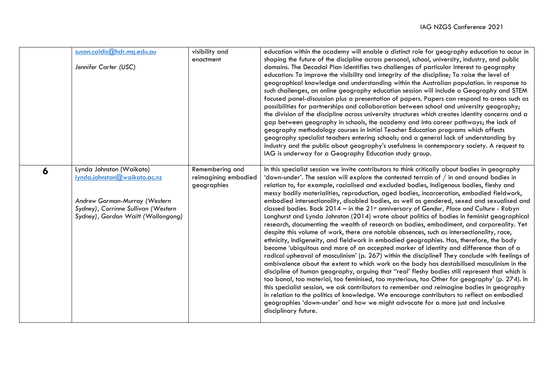|   | susan.caldis@hdr.mq.edu.au<br>Jennifer Carter (USC)                                                                                                                    | visibility and<br>enactment                            | education within the academy will enable a distinct role for geography education to occur in<br>shaping the future of the discipline across personal, school, university, industry, and public<br>domains. The Decadal Plan identifies two challenges of particular interest to geography<br>education: To improve the visibility and integrity of the discipline; To raise the level of<br>geographical knowledge and understanding within the Australian population. In response to<br>such challenges, an online geography education session will include a Geography and STEM<br>focused panel-discussion plus a presentation of papers. Papers can respond to areas such as<br>possibilities for partnerships and collaboration between school and university geography;<br>the division of the discipline across university structures which creates identity concerns and a<br>gap between geography in schools, the academy and into career pathways; the lack of<br>geography methodology courses in Initial Teacher Education programs which affects<br>geography specialist teachers entering schools; and a general lack of understanding by<br>industry and the public about geography's usefulness in contemporary society. A request to<br>IAG is underway for a Geography Education study group.                                                                                                                                                                                                                                                                                                                                                                                                                                                               |
|---|------------------------------------------------------------------------------------------------------------------------------------------------------------------------|--------------------------------------------------------|--------------------------------------------------------------------------------------------------------------------------------------------------------------------------------------------------------------------------------------------------------------------------------------------------------------------------------------------------------------------------------------------------------------------------------------------------------------------------------------------------------------------------------------------------------------------------------------------------------------------------------------------------------------------------------------------------------------------------------------------------------------------------------------------------------------------------------------------------------------------------------------------------------------------------------------------------------------------------------------------------------------------------------------------------------------------------------------------------------------------------------------------------------------------------------------------------------------------------------------------------------------------------------------------------------------------------------------------------------------------------------------------------------------------------------------------------------------------------------------------------------------------------------------------------------------------------------------------------------------------------------------------------------------------------------------------------------------------------------------------------------------------------------|
| 6 | Lynda Johnston (Waikato)<br>lynda.johnston@waikato.ac.nz<br>Andrew Gorman-Murray (Western<br>Sydney), Corrinne Sullivan (Western<br>Sydney), Gordon Waitt (Wollongong) | Remembering and<br>reimagining embodied<br>geographies | In this specialist session we invite contributors to think critically about bodies in geography<br>'down-under'. The session will explore the contested terrain of $/$ in and around bodies in<br>relation to, for example, racialised and excluded bodies, Indigenous bodies, fleshy and<br>messy bodily materialities, reproduction, aged bodies, incarceration, embodied fieldwork,<br>embodied intersectionality, disabled bodies, as well as gendered, sexed and sexualised and<br>classed bodies. Back $2014 -$ in the $21st$ anniversary of Gender, Place and Culture - Robyn<br>Longhurst and Lynda Johnston (2014) wrote about politics of bodies in feminist geographical<br>research, documenting the wealth of research on bodies, embodiment, and corporeality. Yet<br>despite this volume of work, there are notable absences, such as intersectionality, race,<br>ethnicity, Indigeneity, and fieldwork in embodied geographies. Has, therefore, the body<br>become 'ubiquitous and more of an accepted marker of identity and difference than of a<br>radical upheaval of masculinism' (p. 267) within the discipline? They conclude with feelings of<br>ambivalence about the extent to which work on the body has destabilised masculinism in the<br>discipline of human geography, arguing that "real' fleshy bodies still represent that which is<br>too banal, too material, too feminised, too mysterious, too Other for geography' (p. 274). In<br>this specialist session, we ask contributors to remember and reimagine bodies in geography<br>in relation to the politics of knowledge. We encourage contributors to reflect on embodied<br>geographies 'down-under' and how we might advocate for a more just and inclusive<br>disciplinary future. |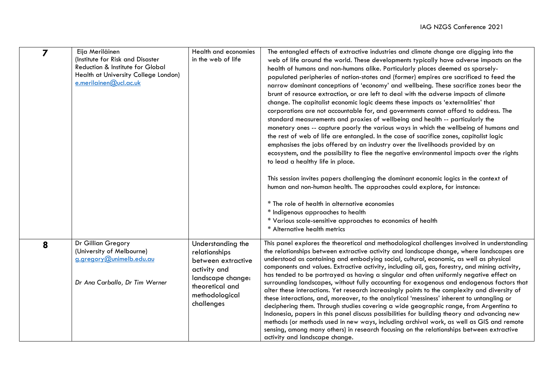| $\overline{z}$ | Eija Meriläinen<br>(Institute for Risk and Disaster<br>Reduction & Institute for Global<br>Health at University College London)<br>e.merilainen@ucl.ac.uk | Health and economies<br>in the web of life                                                                                                       | The entangled effects of extractive industries and climate change are digging into the<br>web of life around the world. These developments typically have adverse impacts on the<br>health of humans and non-humans alike. Particularly places deemed as sparsely-<br>populated peripheries of nation-states and (former) empires are sacrificed to feed the<br>narrow dominant conceptions of 'economy' and wellbeing. These sacrifice zones bear the<br>brunt of resource extraction, or are left to deal with the adverse impacts of climate<br>change. The capitalist economic logic deems these impacts as 'externalities' that<br>corporations are not accountable for, and governments cannot afford to address. The<br>standard measurements and proxies of wellbeing and health -- particularly the<br>monetary ones -- capture poorly the various ways in which the wellbeing of humans and<br>the rest of web of life are entangled. In the case of sacrifice zones, capitalist logic<br>emphasises the jobs offered by an industry over the livelihoods provided by an<br>ecosystem, and the possibility to flee the negative environmental impacts over the rights<br>to lead a healthy life in place.<br>This session invites papers challenging the dominant economic logics in the context of<br>human and non-human health. The approaches could explore, for instance:<br>* The role of health in alternative economies<br>* Indigenous approaches to health<br>* Various scale-sensitive approaches to economics of health<br>* Alternative health metrics |
|----------------|-----------------------------------------------------------------------------------------------------------------------------------------------------------|--------------------------------------------------------------------------------------------------------------------------------------------------|-------------------------------------------------------------------------------------------------------------------------------------------------------------------------------------------------------------------------------------------------------------------------------------------------------------------------------------------------------------------------------------------------------------------------------------------------------------------------------------------------------------------------------------------------------------------------------------------------------------------------------------------------------------------------------------------------------------------------------------------------------------------------------------------------------------------------------------------------------------------------------------------------------------------------------------------------------------------------------------------------------------------------------------------------------------------------------------------------------------------------------------------------------------------------------------------------------------------------------------------------------------------------------------------------------------------------------------------------------------------------------------------------------------------------------------------------------------------------------------------------------------------------------------------------------------------------------|
| 8              | Dr Gillian Gregory<br>(University of Melbourne)<br>g.gregory@unimelb.edu.au<br>Dr Ana Carballo, Dr Tim Werner                                             | Understanding the<br>relationships<br>between extractive<br>activity and<br>landscape change:<br>theoretical and<br>methodological<br>challenges | This panel explores the theoretical and methodological challenges involved in understanding<br>the relationships between extractive activity and landscape change, where landscapes are<br>understood as containing and embodying social, cultural, economic, as well as physical<br>components and values. Extractive activity, including oil, gas, forestry, and mining activity,<br>has tended to be portrayed as having a singular and often uniformly negative effect on<br>surrounding landscapes, without fully accounting for exogenous and endogenous factors that<br>alter these interactions. Yet research increasingly points to the complexity and diversity of<br>these interactions, and, moreover, to the analytical 'messiness' inherent to untangling or<br>deciphering them. Through studies covering a wide geographic range, from Argentina to<br>Indonesia, papers in this panel discuss possibilities for building theory and advancing new<br>methods (or methods used in new ways, including archival work, as well as GIS and remote<br>sensing, among many others) in research focusing on the relationships between extractive<br>activity and landscape change.                                                                                                                                                                                                                                                                                                                                                                                  |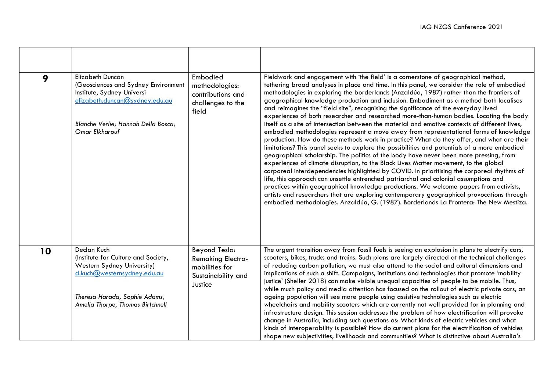| 9  | <b>Elizabeth Duncan</b><br>(Geosciences and Sydney Environment<br>Institute, Sydney Universi<br>elizabeth.duncan@sydney.edu.au<br>Blanche Verlie; Hannah Della Bosca;<br>Omar Elkharouf | Embodied<br>methodologies:<br>contributions and<br>challenges to the<br>field                | Fieldwork and engagement with 'the field' is a cornerstone of geographical method,<br>tethering broad analyses in place and time. In this panel, we consider the role of embodied<br>methodologies in exploring the borderlands (Anzaldúa, 1987) rather than the frontiers of<br>geographical knowledge production and inclusion. Embodiment as a method both localises<br>and reimagines the "field site", recognising the significance of the everyday lived<br>experiences of both researcher and researched more-than-human bodies. Locating the body<br>itself as a site of intersection between the material and emotive contexts of different lives,<br>embodied methodologies represent a move away from representational forms of knowledge<br>production. How do these methods work in practice? What do they offer, and what are their<br>limitations? This panel seeks to explore the possibilities and potentials of a more embodied<br>geographical scholarship. The politics of the body have never been more pressing, from<br>experiences of climate disruption, to the Black Lives Matter movement, to the global<br>corporeal interdependencies highlighted by COVID. In prioritising the corporeal rhythms of<br>life, this approach can unsettle entrenched patriarchal and colonial assumptions and<br>practices within geographical knowledge productions. We welcome papers from activists,<br>artists and researchers that are exploring contemporary geographical provocations through<br>embodied methodologies. Anzaldúa, G. (1987). Borderlands La Frontera: The New Mestiza. |
|----|-----------------------------------------------------------------------------------------------------------------------------------------------------------------------------------------|----------------------------------------------------------------------------------------------|------------------------------------------------------------------------------------------------------------------------------------------------------------------------------------------------------------------------------------------------------------------------------------------------------------------------------------------------------------------------------------------------------------------------------------------------------------------------------------------------------------------------------------------------------------------------------------------------------------------------------------------------------------------------------------------------------------------------------------------------------------------------------------------------------------------------------------------------------------------------------------------------------------------------------------------------------------------------------------------------------------------------------------------------------------------------------------------------------------------------------------------------------------------------------------------------------------------------------------------------------------------------------------------------------------------------------------------------------------------------------------------------------------------------------------------------------------------------------------------------------------------------------------------------------------------------------------------------------------|
| 10 | Declan Kuch<br>(Institute for Culture and Society,<br>Western Sydney University)<br>d.kuch@westernsydney.edu.au<br>Theresa Harada, Sophie Adams,<br>Amelia Thorpe, Thomas Birtchnell    | Beyond Tesla:<br><b>Remaking Electro-</b><br>mobilities for<br>Sustainability and<br>Justice | The urgent transition away from fossil fuels is seeing an explosion in plans to electrify cars,<br>scooters, bikes, trucks and trains. Such plans are largely directed at the technical challenges<br>of reducing carbon pollution, we must also attend to the social and cultural dimensions and<br>implications of such a shift. Campaigns, institutions and technologies that promote 'mobility<br>justice' (Sheller 2018) can make visible unequal capacities of people to be mobile. Thus,<br>while much policy and media attention has focused on the rollout of electric private cars, an<br>ageing population will see more people using assistive technologies such as electric<br>wheelchairs and mobility scooters which are currently not well provided for in planning and<br>infrastructure design. This session addresses the problem of how electrification will provoke<br>change in Australia, including such questions as: What kinds of electric vehicles and what<br>kinds of interoperability is possible? How do current plans for the electrification of vehicles<br>shape new subjectivities, livelihoods and communities? What is distinctive about Australia's                                                                                                                                                                                                                                                                                                                                                                                                                  |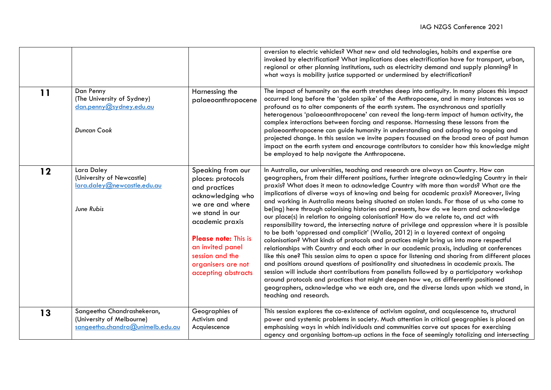|    |                                                                                             |                                                                                                                                                                                                                                                           | aversion to electric vehicles? What new and old technologies, habits and expertise are<br>invoked by electrification? What implications does electrification have for transport, urban,<br>regional or other planning institutions, such as electricity demand and supply planning? In<br>what ways is mobility justice supported or undermined by electrification?                                                                                                                                                                                                                                                                                                                                                                                                                                                                                                                                                                                                                                                                                                                                                                                                                                                                                                                                                                                                                                                                                                                                                                                  |
|----|---------------------------------------------------------------------------------------------|-----------------------------------------------------------------------------------------------------------------------------------------------------------------------------------------------------------------------------------------------------------|------------------------------------------------------------------------------------------------------------------------------------------------------------------------------------------------------------------------------------------------------------------------------------------------------------------------------------------------------------------------------------------------------------------------------------------------------------------------------------------------------------------------------------------------------------------------------------------------------------------------------------------------------------------------------------------------------------------------------------------------------------------------------------------------------------------------------------------------------------------------------------------------------------------------------------------------------------------------------------------------------------------------------------------------------------------------------------------------------------------------------------------------------------------------------------------------------------------------------------------------------------------------------------------------------------------------------------------------------------------------------------------------------------------------------------------------------------------------------------------------------------------------------------------------------|
| 11 | Dan Penny<br>(The University of Sydney)<br>dan.penny@sydney.edu.au<br><b>Duncan Cook</b>    | Harnessing the<br>palaeoanthropocene                                                                                                                                                                                                                      | The impact of humanity on the earth stretches deep into antiquity. In many places this impact<br>occurred long before the 'golden spike' of the Anthropocene, and in many instances was so<br>profound as to alter components of the earth system. The asynchronous and spatially<br>heterogenous 'palaeoanthropocene' can reveal the long-term impact of human activity, the<br>complex interactions between forcing and response. Harnessing these lessons from the<br>palaeoanthropocene can guide humanity in understanding and adapting to ongoing and<br>projected change. In this session we invite papers focussed on the broad area of past human<br>impact on the earth system and encourage contributors to consider how this knowledge might<br>be employed to help navigate the Anthropocene.                                                                                                                                                                                                                                                                                                                                                                                                                                                                                                                                                                                                                                                                                                                                           |
| 12 | Lara Daley<br>(University of Newcastle)<br>lara.daley@newcastle.edu.au<br>June Rubis        | Speaking from our<br>places: protocols<br>and practices<br>acknowledging who<br>we are and where<br>we stand in our<br>academic praxis<br><b>Please note: This is</b><br>an invited panel<br>session and the<br>organisers are not<br>accepting abstracts | In Australia, our universities, teaching and research are always on Country. How can<br>geographers, from their different positions, further integrate acknowledging Country in their<br>praxis? What does it mean to acknowledge Country with more than words? What are the<br>implications of diverse ways of knowing and being for academic praxis? Moreover, living<br>and working in Australia means being situated on stolen lands. For those of us who come to<br>be(ing) here through colonising histories and presents, how do we learn and acknowledge<br>our place(s) in relation to ongoing colonisation? How do we relate to, and act with<br>responsibility toward, the intersecting nature of privilege and oppression where it is possible<br>to be both 'oppressed and complicit' (Walia, 2012) in a layered context of ongoing<br>colonisation? What kinds of protocols and practices might bring us into more respectful<br>relationships with Country and each other in our academic praxis, including at conferences<br>like this one? This session aims to open a space for listening and sharing from different places<br>and positions around questions of positionality and situatedness in academic praxis. The<br>session will include short contributions from panelists followed by a participatory workshop<br>around protocols and practices that might deepen how we, as differently positioned<br>geographers, acknowledge who we each are, and the diverse lands upon which we stand, in<br>teaching and research. |
| 13 | Sangeetha Chandrashekeran,<br>(University of Melbourne)<br>sangeetha.chandra@unimelb.edu.au | Geographies of<br>Activism and<br>Acquiescence                                                                                                                                                                                                            | This session explores the co-existence of activism against, and acquiescence to, structural<br>power and systemic problems in society. Much attention in critical geographies is placed on<br>emphasising ways in which individuals and communities carve out spaces for exercising<br>agency and organising bottom-up actions in the face of seemingly totalizing and intersecting                                                                                                                                                                                                                                                                                                                                                                                                                                                                                                                                                                                                                                                                                                                                                                                                                                                                                                                                                                                                                                                                                                                                                                  |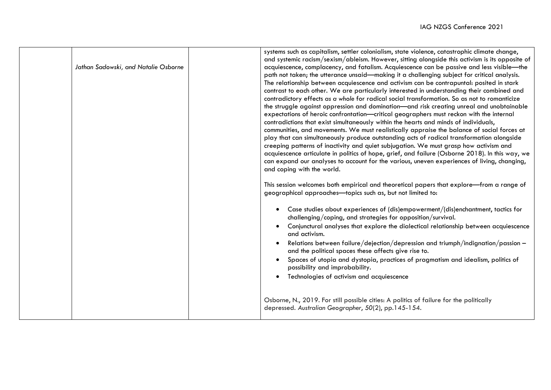| Jathan Sadowski, and Natalie Osborne | systems such as capitalism, settler colonialism, state violence, catastrophic climate change,<br>and systemic racism/sexism/ableism. However, sitting alongside this activism is its opposite of<br>acquiescence, complacency, and fatalism. Acquiescence can be passive and less visible-the<br>path not taken; the utterance unsaid-making it a challenging subject for critical analysis.<br>The relationship between acquiescence and activism can be contrapuntal: posited in stark<br>contrast to each other. We are particularly interested in understanding their combined and<br>contradictory effects as a whole for radical social transformation. So as not to romanticize<br>the struggle against oppression and domination-and risk creating unreal and unobtainable<br>expectations of heroic confrontation-critical geographers must reckon with the internal<br>contradictions that exist simultaneously within the hearts and minds of individuals,<br>communities, and movements. We must realistically appraise the balance of social forces at<br>play that can simultaneously produce outstanding acts of radical transformation alongside<br>creeping patterns of inactivity and quiet subjugation. We must grasp how activism and<br>acquiescence articulate in politics of hope, grief, and failure (Osborne 2018). In this way, we<br>can expand our analyses to account for the various, uneven experiences of living, changing,<br>and coping with the world.<br>This session welcomes both empirical and theoretical papers that explore—from a range of<br>geographical approaches-topics such as, but not limited to:<br>Case studies about experiences of (dis)empowerment/(dis)enchantment, tactics for<br>$\bullet$<br>challenging/coping, and strategies for opposition/survival.<br>Conjunctural analyses that explore the dialectical relationship between acquiescence<br>and activism.<br>Relations between failure/dejection/depression and triumph/indignation/passion -<br>and the political spaces these affects give rise to.<br>Spaces of utopia and dystopia, practices of pragmatism and idealism, politics of<br>$\bullet$<br>possibility and improbability.<br>Technologies of activism and acquiescence |
|--------------------------------------|-----------------------------------------------------------------------------------------------------------------------------------------------------------------------------------------------------------------------------------------------------------------------------------------------------------------------------------------------------------------------------------------------------------------------------------------------------------------------------------------------------------------------------------------------------------------------------------------------------------------------------------------------------------------------------------------------------------------------------------------------------------------------------------------------------------------------------------------------------------------------------------------------------------------------------------------------------------------------------------------------------------------------------------------------------------------------------------------------------------------------------------------------------------------------------------------------------------------------------------------------------------------------------------------------------------------------------------------------------------------------------------------------------------------------------------------------------------------------------------------------------------------------------------------------------------------------------------------------------------------------------------------------------------------------------------------------------------------------------------------------------------------------------------------------------------------------------------------------------------------------------------------------------------------------------------------------------------------------------------------------------------------------------------------------------------------------------------------------------------------------------------------------------------------------------------------------------------------------------------------------------------|
|                                      | Osborne, N., 2019. For still possible cities: A politics of failure for the politically<br>depressed. Australian Geographer, 50(2), pp.145-154.                                                                                                                                                                                                                                                                                                                                                                                                                                                                                                                                                                                                                                                                                                                                                                                                                                                                                                                                                                                                                                                                                                                                                                                                                                                                                                                                                                                                                                                                                                                                                                                                                                                                                                                                                                                                                                                                                                                                                                                                                                                                                                           |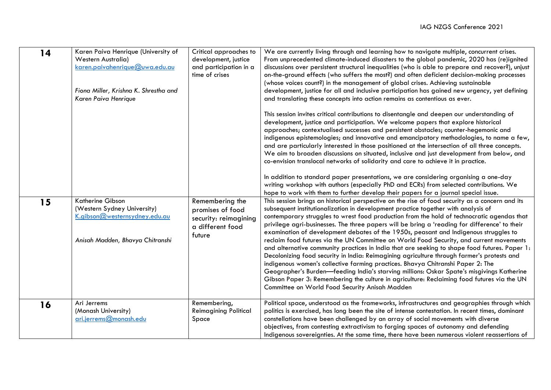| 14 | Karen Paiva Henrique (University of<br><b>Western Australia)</b><br>karen.paivahenrique@uwa.edu.au<br>Fiona Miller, Krishna K. Shrestha and<br>Karen Paiva Henrique | Critical approaches to<br>development, justice<br>and participation in a<br>time of crises | We are currently living through and learning how to navigate multiple, concurrent crises.<br>From unprecedented climate-induced disasters to the global pandemic, 2020 has (re)ignited<br>discussions over persistent structural inequalities (who is able to prepare and recover?), unjust<br>on-the-ground effects (who suffers the most?) and often deficient decision-making processes<br>(whose voices count?) in the management of global crises. Achieving sustainable<br>development, justice for all and inclusive participation has gained new urgency, yet defining<br>and translating these concepts into action remains as contentious as ever.<br>This session invites critical contributions to disentangle and deepen our understanding of<br>development, justice and participation. We welcome papers that explore historical<br>approaches; contextualised successes and persistent obstacles; counter-hegemonic and<br>indigenous epistemologies; and innovative and emancipatory methodologies, to name a few,<br>and are particularly interested in those positioned at the intersection of all three concepts.<br>We aim to broaden discussions on situated, inclusive and just development from below, and<br>co-envision translocal networks of solidarity and care to achieve it in practice.<br>In addition to standard paper presentations, we are considering organising a one-day<br>writing workshop with authors (especially PhD and ECRs) from selected contributions. We<br>hope to work with them to further develop their papers for a journal special issue. |
|----|---------------------------------------------------------------------------------------------------------------------------------------------------------------------|--------------------------------------------------------------------------------------------|---------------------------------------------------------------------------------------------------------------------------------------------------------------------------------------------------------------------------------------------------------------------------------------------------------------------------------------------------------------------------------------------------------------------------------------------------------------------------------------------------------------------------------------------------------------------------------------------------------------------------------------------------------------------------------------------------------------------------------------------------------------------------------------------------------------------------------------------------------------------------------------------------------------------------------------------------------------------------------------------------------------------------------------------------------------------------------------------------------------------------------------------------------------------------------------------------------------------------------------------------------------------------------------------------------------------------------------------------------------------------------------------------------------------------------------------------------------------------------------------------------------------------------------------------------------------------------------------------|
| 15 | Katherine Gibson<br>(Western Sydney University)<br>K.gibson@westernsydney.edu.au<br>Anisah Madden, Bhavya Chitranshi                                                | Remembering the<br>promises of food<br>security: reimagining<br>a different food<br>future | This session brings an historical perspective on the rise of food security as a concern and its<br>subsequent institutionalization in development practice together with analysis of<br>contemporary struggles to wrest food production from the hold of technocratic agendas that<br>privilege agri-businesses. The three papers will be bring a 'reading for difference' to their<br>examination of development debates of the 1950s, peasant and Indigenous struggles to<br>reclaim food futures via the UN Committee on World Food Security, and current movements<br>and alternative community practices in India that are seeking to shape food futures. Paper 1:<br>Decolonizing food security in India: Reimagining agriculture through farmer's protests and<br>indigenous women's collective farming practices. Bhavya Chitranshi Paper 2: The<br>Geographer's Burden-feeding India's starving millions: Oskar Spate's misgivings Katherine<br>Gibson Paper 3: Remembering the culture in agriculture: Reclaiming food futures via the UN<br>Committee on World Food Security Anisah Madden                                                                                                                                                                                                                                                                                                                                                                                                                                                                                             |
| 16 | Ari Jerrems<br>(Monash University)<br>ari.jerrems@monash.edu                                                                                                        | Remembering,<br><b>Reimagining Political</b><br>Space                                      | Political space, understood as the frameworks, infrastructures and geographies through which<br>politics is exercised, has long been the site of intense contestation. In recent times, dominant<br>constellations have been challenged by an array of social movements with diverse<br>objectives, from contesting extractivism to forging spaces of autonomy and defending<br>Indigenous sovereignties. At the same time, there have been numerous violent reassertions of                                                                                                                                                                                                                                                                                                                                                                                                                                                                                                                                                                                                                                                                                                                                                                                                                                                                                                                                                                                                                                                                                                                      |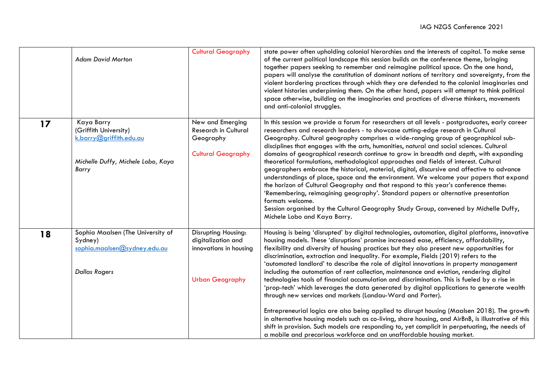|    | <b>Adam David Morton</b>                                                                                      | <b>Cultural Geography</b>                                                                     | state power often upholding colonial hierarchies and the interests of capital. To make sense<br>of the current political landscape this session builds on the conference theme, bringing<br>together papers seeking to remember and reimagine political space. On the one hand,<br>papers will analyse the constitution of dominant notions of territory and sovereignty, from the<br>violent bordering practices through which they are defended to the colonial imaginaries and<br>violent histories underpinning them. On the other hand, papers will attempt to think political<br>space otherwise, building on the imaginaries and practices of diverse thinkers, movements<br>and anti-colonial struggles.                                                                                                                                                                                                                                                                                                                                                                                                                                                                                                  |
|----|---------------------------------------------------------------------------------------------------------------|-----------------------------------------------------------------------------------------------|-------------------------------------------------------------------------------------------------------------------------------------------------------------------------------------------------------------------------------------------------------------------------------------------------------------------------------------------------------------------------------------------------------------------------------------------------------------------------------------------------------------------------------------------------------------------------------------------------------------------------------------------------------------------------------------------------------------------------------------------------------------------------------------------------------------------------------------------------------------------------------------------------------------------------------------------------------------------------------------------------------------------------------------------------------------------------------------------------------------------------------------------------------------------------------------------------------------------|
| 17 | Kaya Barry<br>(Griffith University)<br>k.barry@griffith.edu.au<br>Michelle Duffy, Michele Lobo, Kaya<br>Barry | New and Emerging<br>Research in Cultural<br>Geography<br><b>Cultural Geography</b>            | In this session we provide a forum for researchers at all levels - postgraduates, early career<br>researchers and research leaders - to showcase cutting-edge research in Cultural<br>Geography. Cultural geography comprises a wide-ranging group of geographical sub-<br>disciplines that engages with the arts, humanities, natural and social sciences. Cultural<br>domains of geographical research continue to grow in breadth and depth, with expanding<br>theoretical formulations, methodological approaches and fields of interest. Cultural<br>geographers embrace the historical, material, digital, discursive and affective to advance<br>understandings of place, space and the environment. We welcome your papers that expand<br>the horizon of Cultural Geography and that respond to this year's conference theme:<br>'Remembering, reimagining geography'. Standard papers or alternative presentation<br>formats welcome.<br>Session organised by the Cultural Geography Study Group, convened by Michelle Duffy,<br>Michele Lobo and Kaya Barry.                                                                                                                                            |
| 18 | Sophia Maalsen (The University of<br>Sydney)<br>sophia.maalsen@sydney.edu.au<br><b>Dallas Rogers</b>          | Disrupting Housing:<br>digitalization and<br>innovations in housing<br><b>Urban Geography</b> | Housing is being 'disrupted' by digital technologies, automation, digital platforms, innovative<br>housing models. These 'disruptions' promise increased ease, efficiency, affordability,<br>flexibility and diversity of housing practices but they also present new opportunities for<br>discrimination, extraction and inequality. For example, Fields (2019) refers to the<br>'automated landlord' to describe the role of digital innovations in property management<br>including the automation of rent collection, maintenance and eviction, rendering digital<br>technologies tools of financial accumulation and discrimination. This is fueled by a rise in<br>'prop-tech' which leverages the data generated by digital applications to generate wealth<br>through new services and markets (Landau-Ward and Porter).<br>Entrepreneurial logics are also being applied to disrupt housing (Maalsen 2018). The growth<br>in alternative housing models such as co-living, share housing, and AirBnB, is illustrative of this<br>shift in provision. Such models are responding to, yet complicit in perpetuating, the needs of<br>a mobile and precarious workforce and an unaffordable housing market. |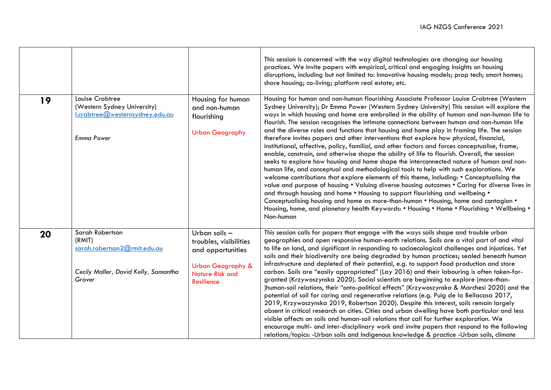|    |                                                                                                             |                                                                                                                                             | This session is concerned with the way digital technologies are changing our housing<br>practices. We invite papers with empirical, critical and engaging insights on housing<br>disruptions, including but not limited to: Innovative housing models; prop tech; smart homes;<br>share housing; co-living; platform real estate; etc.                                                                                                                                                                                                                                                                                                                                                                                                                                                                                                                                                                                                                                                                                                                                                                                                                                                                                                                                                                                                                                                                                                                 |
|----|-------------------------------------------------------------------------------------------------------------|---------------------------------------------------------------------------------------------------------------------------------------------|--------------------------------------------------------------------------------------------------------------------------------------------------------------------------------------------------------------------------------------------------------------------------------------------------------------------------------------------------------------------------------------------------------------------------------------------------------------------------------------------------------------------------------------------------------------------------------------------------------------------------------------------------------------------------------------------------------------------------------------------------------------------------------------------------------------------------------------------------------------------------------------------------------------------------------------------------------------------------------------------------------------------------------------------------------------------------------------------------------------------------------------------------------------------------------------------------------------------------------------------------------------------------------------------------------------------------------------------------------------------------------------------------------------------------------------------------------|
| 19 | Louise Crabtree<br>(Western Sydney University)<br>I.crabtree@westernsydney.edu.au<br><b>Emma Power</b>      | Housing for human<br>and non-human<br>flourishing<br><b>Urban Geography</b>                                                                 | Housing for human and non-human flourishing Associate Professor Louise Crabtree (Western<br>Sydney University); Dr Emma Power (Western Sydney University) This session will explore the<br>ways in which housing and home are embroiled in the ability of human and non-human life to<br>flourish. The session recognises the intimate connections between human and non-human life<br>and the diverse roles and functions that housing and home play in framing life. The session<br>therefore invites papers and other interventions that explore how physical, financial,<br>institutional, affective, policy, familial, and other factors and forces conceptualise, frame,<br>enable, constrain, and otherwise shape the ability of life to flourish. Overall, the session<br>seeks to explore how housing and home shape the interconnected nature of human and non-<br>human life, and conceptual and methodological tools to help with such explorations. We<br>welcome contributions that explore elements of this theme, including: • Conceptualising the<br>value and purpose of housing . Valuing diverse housing outcomes . Caring for diverse lives in<br>and through housing and home . Housing to support flourishing and wellbeing .<br>Conceptualising housing and home as more-than-human • Housing, home and contagion •<br>Housing, home, and planetary health Keywords: • Housing • Home • Flourishing • Wellbeing •<br>Non-human |
| 20 | Sarah Robertson<br>(RMIT)<br>sarah.robertson2@rmit.edu.au<br>Cecily Maller, David Kelly, Samantha<br>Grover | Urban soils -<br>troubles, visibilities<br>and opportunities<br><b>Urban Geography &amp;</b><br><b>Nature Risk and</b><br><b>Resilience</b> | This session calls for papers that engage with the ways soils shape and trouble urban<br>geographies and open responsive human-earth relations. Soils are a vital part of and vital<br>to life on land, and significant in responding to socioecological challenges and injustices. Yet<br>soils and their biodiversity are being degraded by human practices; sealed beneath human<br>infrastructure and depleted of their potential, e.g. to support food production and store<br>carbon. Soils are "easily appropriated" (Lay 2016) and their labouring is often taken-for-<br>granted (Krzywoszynska 2020). Social scientists are beginning to explore (more-than-<br>)human-soil relations, their "onto-political effects" (Krzywoszynska & Marchesi 2020) and the<br>potential of soil for caring and regenerative relations (e.g. Puig de la Bellacasa 2017,<br>2019, Krzywoszynska 2019, Robertson 2020). Despite this interest, soils remain largely<br>absent in critical research on cities. Cities and urban dwelling have both particular and less<br>visible affects on soils and human-soil relations that call for further exploration. We<br>encourage multi- and inter-disciplinary work and invite papers that respond to the following<br>relations/topics: - Urban soils and Indigenous knowledge & practice - Urban soils, climate                                                                                               |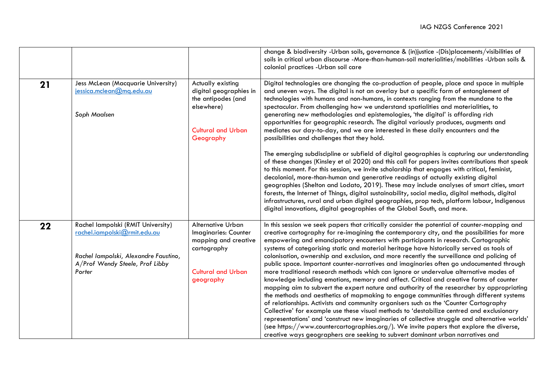|    |                                                                                                                                                          |                                                                                                                            | change & biodiversity -Urban soils, governance & (in)justice -(Dis)placements/visibilities of<br>soils in critical urban discourse -More-than-human-soil materialities/mobilities -Urban soils &<br>colonial practices -Urban soil care                                                                                                                                                                                                                                                                                                                                                                                                                                                                                                                                                                                                                                                                                                                                                                                                                                                                                                                                                                                                                                                                                                                                                                                  |
|----|----------------------------------------------------------------------------------------------------------------------------------------------------------|----------------------------------------------------------------------------------------------------------------------------|--------------------------------------------------------------------------------------------------------------------------------------------------------------------------------------------------------------------------------------------------------------------------------------------------------------------------------------------------------------------------------------------------------------------------------------------------------------------------------------------------------------------------------------------------------------------------------------------------------------------------------------------------------------------------------------------------------------------------------------------------------------------------------------------------------------------------------------------------------------------------------------------------------------------------------------------------------------------------------------------------------------------------------------------------------------------------------------------------------------------------------------------------------------------------------------------------------------------------------------------------------------------------------------------------------------------------------------------------------------------------------------------------------------------------|
| 21 | Jess McLean (Macquarie University)<br>jessica.mclean@mg.edu.au<br>Soph Maalsen                                                                           | Actually existing<br>digital geographies in<br>the antipodes (and<br>elsewhere)<br><b>Cultural and Urban</b><br>Geography  | Digital technologies are changing the co-production of people, place and space in multiple<br>and uneven ways. The digital is not an overlay but a specific form of entanglement of<br>technologies with humans and non-humans, in contexts ranging from the mundane to the<br>spectacular. From challenging how we understand spatialities and materialities, to<br>generating new methodologies and epistemologies, 'the digital' is affording rich<br>opportunities for geographic research. The digital variously produces, augments and<br>mediates our day-to-day, and we are interested in these daily encounters and the<br>possibilities and challenges that they hold.                                                                                                                                                                                                                                                                                                                                                                                                                                                                                                                                                                                                                                                                                                                                         |
|    |                                                                                                                                                          |                                                                                                                            | The emerging subdiscipline or subfield of digital geographies is capturing our understanding<br>of these changes (Kinsley et al 2020) and this call for papers invites contributions that speak<br>to this moment. For this session, we invite scholarship that engages with critical, feminist,<br>decolonial, more-than-human and generative readings of actually existing digital<br>geographies (Shelton and Lodato, 2019). These may include analyses of smart cities, smart<br>forests, the Internet of Things, digital sustainability, social media, digital methods, digital<br>infrastructures, rural and urban digital geographies, prop tech, platform labour, Indigenous<br>digital innovations, digital geographies of the Global South, and more.                                                                                                                                                                                                                                                                                                                                                                                                                                                                                                                                                                                                                                                          |
| 22 | Rachel lampolski (RMIT University)<br>rachel.iampolski@rmit.edu.au<br>Rachel lampolski, Alexandre Faustino,<br>A/Prof Wendy Steele, Prof Libby<br>Porter | Alternative Urban<br>Imaginaries: Counter<br>mapping and creative<br>cartography<br><b>Cultural and Urban</b><br>geography | In this session we seek papers that critically consider the potential of counter-mapping and<br>creative cartography for re-imagining the contemporary city, and the possibilities for more<br>empowering and emancipatory encounters with participants in research. Cartographic<br>systems of categorising static and material heritage have historically served as tools of<br>colonisation, ownership and exclusion, and more recently the surveillance and policing of<br>public space. Important counter-narratives and imaginaries often go undocumented through<br>more traditional research methods which can ignore or undervalue alternative modes of<br>knowledge including emotions, memory and affect. Critical and creative forms of counter<br>mapping aim to subvert the expert nature and authority of the researcher by appropriating<br>the methods and aesthetics of mapmaking to engage communities through different systems<br>of relationships. Activists and community organisers such as the 'Counter Cartography<br>Collective' for example use these visual methods to 'destabilize centred and exclusionary<br>representations' and 'construct new imaginaries of collective struggle and alternative worlds'<br>(see https://www.countercartographies.org/). We invite papers that explore the diverse,<br>creative ways geographers are seeking to subvert dominant urban narratives and |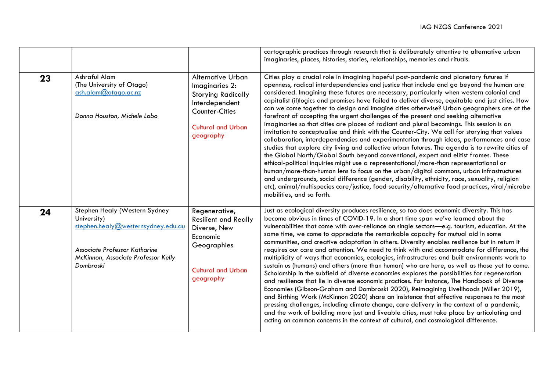|    |                                                                                                                                                                         |                                                                                                                                                | cartographic practices through research that is deliberately attentive to alternative urban<br>imaginaries, places, histories, stories, relationships, memories and rituals.                                                                                                                                                                                                                                                                                                                                                                                                                                                                                                                                                                                                                                                                                                                                                                                                                                                                                                                                                                                                                                                                                                                                                                                                                                                                                                          |
|----|-------------------------------------------------------------------------------------------------------------------------------------------------------------------------|------------------------------------------------------------------------------------------------------------------------------------------------|---------------------------------------------------------------------------------------------------------------------------------------------------------------------------------------------------------------------------------------------------------------------------------------------------------------------------------------------------------------------------------------------------------------------------------------------------------------------------------------------------------------------------------------------------------------------------------------------------------------------------------------------------------------------------------------------------------------------------------------------------------------------------------------------------------------------------------------------------------------------------------------------------------------------------------------------------------------------------------------------------------------------------------------------------------------------------------------------------------------------------------------------------------------------------------------------------------------------------------------------------------------------------------------------------------------------------------------------------------------------------------------------------------------------------------------------------------------------------------------|
| 23 | Ashraful Alam<br>(The University of Otago)<br>ash.alam@otago.ac.nz<br>Donna Houston, Michele Lobo                                                                       | Alternative Urban<br>Imaginaries 2:<br><b>Storying Radically</b><br>Interdependent<br>Counter-Cities<br><b>Cultural and Urban</b><br>geography | Cities play a crucial role in imagining hopeful post-pandemic and planetary futures if<br>openness, radical interdependencies and justice that include and go beyond the human are<br>considered. Imagining these futures are necessary, particularly when western colonial and<br>capitalist (il)logics and promises have failed to deliver diverse, equitable and just cities. How<br>can we come together to design and imagine cities otherwise? Urban geographers are at the<br>forefront of accepting the urgent challenges of the present and seeking alternative<br>imaginaries so that cities are places of radiant and plural becomings. This session is an<br>invitation to conceptualise and think with the Counter-City. We call for storying that values<br>collaboration, interdependencies and experimentation through ideas, performances and case<br>studies that explore city living and collective urban futures. The agenda is to rewrite cities of<br>the Global North/Global South beyond conventional, expert and elitist frames. These<br>ethical-political inquiries might use a representational/more-than representational or<br>human/more-than-human lens to focus on the urban/digital commons, urban infrastructures<br>and undergrounds, social difference (gender, disability, ethnicity, race, sexuality, religion<br>etc), animal/multispecies care/justice, food security/alternative food practices, viral/microbe<br>mobilities, and so forth. |
| 24 | Stephen Healy (Western Sydney<br>University)<br>stephen.healy@westernsydney.edu.au<br>Associate Professor Katharine<br>McKinnon, Associate Professor Kelly<br>Dombroski | Regenerative,<br><b>Resilient and Really</b><br>Diverse, New<br>Economic<br>Geographies<br><b>Cultural and Urban</b><br>geography              | Just as ecological diversity produces resilience, so too does economic diversity. This has<br>become obvious in times of COVID-19. In a short time span we've learned about the<br>vulnerabilities that come with over-reliance on single sectors-e.g. tourism, education. At the<br>same time, we come to appreciate the remarkable capacity for mutual aid in some<br>communities, and creative adaptation in others. Diversity enables resilience but in return it<br>requires our care and attention. We need to think with and accommodate for difference, the<br>multiplicity of ways that economies, ecologies, infrastructures and built environments work to<br>sustain us (humans) and others (more than human) who are here, as well as those yet to come.<br>Scholarship in the subfield of diverse economies explores the possibilities for regeneration<br>and resilience that lie in diverse economic practices. For instance, The Handbook of Diverse<br>Economies (Gibson-Graham and Dombroski 2020), Reimagining Livelihoods (Miller 2019),<br>and Birthing Work (McKinnon 2020) share an insistence that effective responses to the most<br>pressing challenges, including climate change, care delivery in the context of a pandemic,<br>and the work of building more just and liveable cities, must take place by articulating and<br>acting on common concerns in the context of cultural, and cosmological difference.                                        |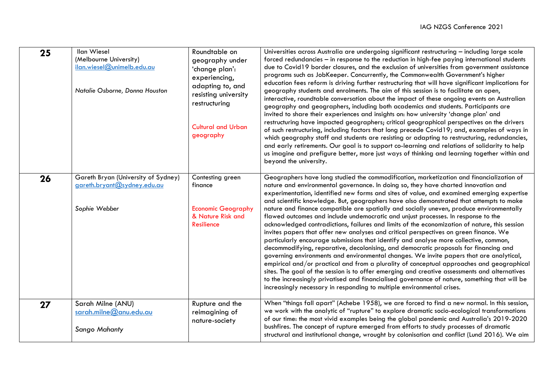| 25 | <b>Ilan Wiesel</b><br>(Melbourne University)<br>ilan.wiesel@unimelb.edu.au<br>Natalie Osborne, Donna Houston | Roundtable on<br>geography under<br>'change plan':<br>experiencing,<br>adapting to, and<br>resisting university<br>restructuring<br><b>Cultural and Urban</b><br>geography | Universities across Australia are undergoing significant restructuring - including large scale<br>forced redundancies - in response to the reduction in high-fee paying international students<br>due to Covid19 border closures, and the exclusion of universities from government assistance<br>programs such as JobKeeper. Concurrently, the Commonwealth Government's higher<br>education fees reform is driving further restructuring that will have significant implications for<br>geography students and enrolments. The aim of this session is to facilitate an open,<br>interactive, roundtable conversation about the impact of these ongoing events on Australian<br>geography and geographers, including both academics and students. Participants are<br>invited to share their experiences and insights on: how university 'change plan' and<br>restructuring have impacted geographers; critical geographical perspectives on the drivers<br>of such restructuring, including factors that long precede Covid19; and, examples of ways in<br>which geography staff and students are resisting or adapting to restructuring, redundancies,<br>and early retirements. Our goal is to support co-learning and relations of solidarity to help<br>us imagine and prefigure better, more just ways of thinking and learning together within and<br>beyond the university.                   |
|----|--------------------------------------------------------------------------------------------------------------|----------------------------------------------------------------------------------------------------------------------------------------------------------------------------|--------------------------------------------------------------------------------------------------------------------------------------------------------------------------------------------------------------------------------------------------------------------------------------------------------------------------------------------------------------------------------------------------------------------------------------------------------------------------------------------------------------------------------------------------------------------------------------------------------------------------------------------------------------------------------------------------------------------------------------------------------------------------------------------------------------------------------------------------------------------------------------------------------------------------------------------------------------------------------------------------------------------------------------------------------------------------------------------------------------------------------------------------------------------------------------------------------------------------------------------------------------------------------------------------------------------------------------------------------------------------------------------------------|
| 26 | Gareth Bryan (University of Sydney)<br>gareth.bryant@sydney.edu.au<br>Sophie Webber                          | Contesting green<br>finance<br><b>Economic Geography</b><br>& Nature Risk and<br>Resilience                                                                                | Geographers have long studied the commodification, marketization and financialization of<br>nature and environmental governance. In doing so, they have charted innovation and<br>experimentation, identified new forms and sites of value, and examined emerging expertise<br>and scientific knowledge. But, geographers have also demonstrated that attempts to make<br>nature and finance compatible are spatially and socially uneven, produce environmentally<br>flawed outcomes and include undemocratic and unjust processes. In response to the<br>acknowledged contradictions, failures and limits of the economization of nature, this session<br>invites papers that offer new analyses and critical perspectives on green finance. We<br>particularly encourage submissions that identify and analyse more collective, common,<br>decommodifying, reparative, decolonising, and democratic proposals for financing and<br>governing environments and environmental changes. We invite papers that are analytical,<br>empirical and/or practical and from a plurality of conceptual approaches and geographical<br>sites. The goal of the session is to offer emerging and creative assessments and alternatives<br>to the increasingly privatised and financialised governance of nature, something that will be<br>increasingly necessary in responding to multiple environmental crises. |
| 27 | Sarah Milne (ANU)<br>sarah.milne@anu.edu.au<br><b>Sango Mahanty</b>                                          | Rupture and the<br>reimagining of<br>nature-society                                                                                                                        | When "things fall apart" (Achebe 1958), we are forced to find a new normal. In this session,<br>we work with the analytic of "rupture" to explore dramatic socio-ecological transformations<br>of our time: the most vivid examples being the global pandemic and Australia's 2019-2020<br>bushfires. The concept of rupture emerged from efforts to study processes of dramatic<br>structural and institutional change, wrought by colonisation and conflict (Lund 2016). We aim                                                                                                                                                                                                                                                                                                                                                                                                                                                                                                                                                                                                                                                                                                                                                                                                                                                                                                                      |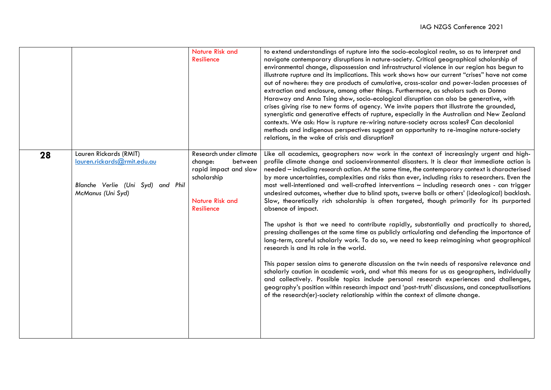|    |                                                                                                                 | <b>Nature Risk and</b><br><b>Resilience</b>                                                                                         | to extend understandings of rupture into the socio-ecological realm, so as to interpret and<br>navigate contemporary disruptions in nature-society. Critical geographical scholarship of<br>environmental change, dispossession and infrastructural violence in our region has begun to<br>illustrate rupture and its implications. This work shows how our current "crises" have not come<br>out of nowhere: they are products of cumulative, cross-scalar and power-laden processes of<br>extraction and enclosure, among other things. Furthermore, as scholars such as Donna<br>Haraway and Anna Tsing show, socio-ecological disruption can also be generative, with<br>crises giving rise to new forms of agency. We invite papers that illustrate the grounded,<br>synergistic and generative effects of rupture, especially in the Australian and New Zealand<br>contexts. We ask: How is rupture re-wiring nature-society across scales? Can decolonial<br>methods and indigenous perspectives suggest an opportunity to re-imagine nature-society<br>relations, in the wake of crisis and disruption?                                                                                                                                                                                                                                                                                                                                                                                                                                 |
|----|-----------------------------------------------------------------------------------------------------------------|-------------------------------------------------------------------------------------------------------------------------------------|-------------------------------------------------------------------------------------------------------------------------------------------------------------------------------------------------------------------------------------------------------------------------------------------------------------------------------------------------------------------------------------------------------------------------------------------------------------------------------------------------------------------------------------------------------------------------------------------------------------------------------------------------------------------------------------------------------------------------------------------------------------------------------------------------------------------------------------------------------------------------------------------------------------------------------------------------------------------------------------------------------------------------------------------------------------------------------------------------------------------------------------------------------------------------------------------------------------------------------------------------------------------------------------------------------------------------------------------------------------------------------------------------------------------------------------------------------------------------------------------------------------------------------------------------|
| 28 | Lauren Rickards (RMIT)<br>lauren.rickards@rmit.edu.au<br>Blanche Verlie (Uni Syd) and Phil<br>McManus (Uni Syd) | Research under climate<br>change:<br>between<br>rapid impact and slow<br>scholarship<br><b>Nature Risk and</b><br><b>Resilience</b> | Like all academics, geographers now work in the context of increasingly urgent and high-<br>profile climate change and socioenvironmental disasters. It is clear that immediate action is<br>needed - including research action. At the same time, the contemporary context is characterised<br>by more uncertainties, complexities and risks than ever, including risks to researchers. Even the<br>most well-intentioned and well-crafted interventions - including research ones - can trigger<br>undesired outcomes, whether due to blind spots, swerve balls or others' (ideological) backlash.<br>Slow, theoretically rich scholarship is often targeted, though primarily for its purported<br>absence of impact.<br>The upshot is that we need to contribute rapidly, substantially and practically to shared,<br>pressing challenges at the same time as publicly articulating and defending the importance of<br>long-term, careful scholarly work. To do so, we need to keep reimagining what geographical<br>research is and its role in the world.<br>This paper session aims to generate discussion on the twin needs of responsive relevance and<br>scholarly caution in academic work, and what this means for us as geographers, individually<br>and collectively. Possible topics include personal research experiences and challenges,<br>geography's position within research impact and 'post-truth' discussions, and conceptualisations<br>of the research(er)-society relationship within the context of climate change. |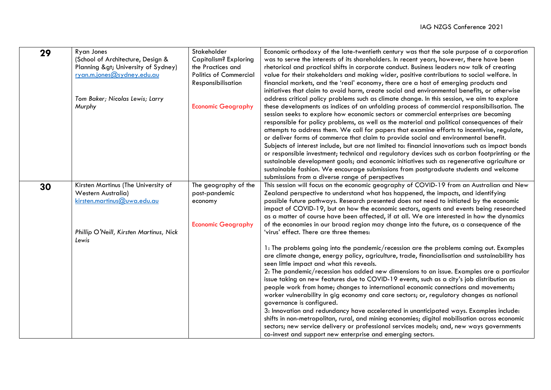| 29 | <b>Ryan Jones</b><br>(School of Architecture, Design &<br>Planning > University of Sydney)<br>ryan.m.jones@sydney.edu.au<br>Tom Baker; Nicolas Lewis; Larry<br>Murphy | Stakeholder<br><b>Capitalism? Exploring</b><br>the Practices and<br><b>Politics of Commercial</b><br>Responsibilisation<br><b>Economic Geography</b> | Economic orthodoxy of the late-twentieth century was that the sole purpose of a corporation<br>was to serve the interests of its shareholders. In recent years, however, there have been<br>rhetorical and practical shifts in corporate conduct. Business leaders now talk of creating<br>value for their stakeholders and making wider, positive contributions to social welfare. In<br>financial markets, and the 'real' economy, there are a host of emerging products and<br>initiatives that claim to avoid harm, create social and environmental benefits, or otherwise<br>address critical policy problems such as climate change. In this session, we aim to explore<br>these developments as indices of an unfolding process of commercial responsibilisation. The<br>session seeks to explore how economic sectors or commercial enterprises are becoming<br>responsible for policy problems, as well as the material and political consequences of their<br>attempts to address them. We call for papers that examine efforts to incentivise, regulate,<br>or deliver forms of commerce that claim to provide social and environmental benefit.<br>Subjects of interest include, but are not limited to: financial innovations such as impact bonds<br>or responsible investment; technical and regulatory devices such as carbon footprinting or the<br>sustainable development goals; and economic initiatives such as regenerative agriculture or<br>sustainable fashion. We encourage submissions from postgraduate students and welcome<br>submissions from a diverse range of perspectives      |
|----|-----------------------------------------------------------------------------------------------------------------------------------------------------------------------|------------------------------------------------------------------------------------------------------------------------------------------------------|-------------------------------------------------------------------------------------------------------------------------------------------------------------------------------------------------------------------------------------------------------------------------------------------------------------------------------------------------------------------------------------------------------------------------------------------------------------------------------------------------------------------------------------------------------------------------------------------------------------------------------------------------------------------------------------------------------------------------------------------------------------------------------------------------------------------------------------------------------------------------------------------------------------------------------------------------------------------------------------------------------------------------------------------------------------------------------------------------------------------------------------------------------------------------------------------------------------------------------------------------------------------------------------------------------------------------------------------------------------------------------------------------------------------------------------------------------------------------------------------------------------------------------------------------------------------------------------------------------------------|
| 30 | Kirsten Martinus (The University of<br>Western Australia)<br>kirsten.martinus@uwa.edu.au<br>Phillip O'Neill, Kirsten Martinus, Nick<br>Lewis                          | The geography of the<br>post-pandemic<br>economy<br><b>Economic Geography</b>                                                                        | This session will focus on the economic geography of COVID-19 from an Australian and New<br>Zealand perspective to understand what has happened, the impacts, and identifying<br>possible future pathways. Research presented does not need to initiated by the economic<br>impact of COVID-19, but on how the economic sectors, agents and events being researched<br>as a matter of course have been affected, if at all. We are interested in how the dynamics<br>of the economies in our broad region may change into the future, as a consequence of the<br>'virus' effect. There are three themes:<br>1: The problems going into the pandemic/recession are the problems coming out. Examples<br>are climate change, energy policy, agriculture, trade, financialisation and sustainability has<br>seen little impact and what this reveals.<br>2: The pandemic/recession has added new dimensions to an issue. Examples are a particular<br>issue taking on new features due to COVID-19 events, such as a city's job distribution as<br>people work from home; changes to international economic connections and movements;<br>worker vulnerability in gig economy and care sectors; or, regulatory changes as national<br>governance is configured.<br>3: Innovation and redundancy have accelerated in unanticipated ways. Examples include:<br>shifts in non-metropolitan, rural, and mining economies; digital mobilisation across economic<br>sectors; new service delivery or professional services models; and, new ways governments<br>co-invest and support new enterprise and emerging sectors. |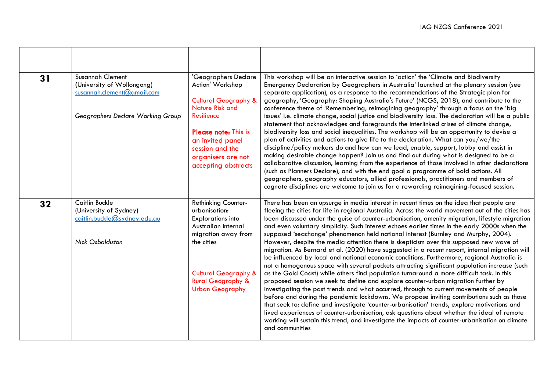| 31 | <b>Susannah Clement</b><br>(University of Wollongong)<br>susannah.clement@gmail.com<br>Geographers Declare Working Group | 'Geographers Declare<br>Action' Workshop<br><b>Cultural Geography &amp;</b><br><b>Nature Risk and</b><br>Resilience<br>Please note: This is<br>an invited panel<br>session and the<br>organisers are not<br>accepting abstracts  | This workshop will be an interactive session to 'action' the 'Climate and Biodiversity<br>Emergency Declaration by Geographers in Australia' launched at the plenary session (see<br>separate application), as a response to the recommendations of the Strategic plan for<br>geography, 'Geography: Shaping Australia's Future' (NCGS, 2018), and contribute to the<br>conference theme of 'Remembering, reimagining geography' through a focus on the 'big<br>issues' i.e. climate change, social justice and biodiversity loss. The declaration will be a public<br>statement that acknowledges and foregrounds the interlinked crises of climate change,<br>biodiversity loss and social inequalities. The workshop will be an opportunity to devise a<br>plan of activities and actions to give life to the declaration. What can you/we/the<br>discipline/policy makers do and how can we lead, enable, support, lobby and assist in<br>making desirable change happen? Join us and find out during what is designed to be a<br>collaborative discussion, learning from the experience of those involved in other declarations<br>(such as Planners Declare), and with the end goal a programme of bold actions. All<br>geographers, geography educators, allied professionals, practitioners and members of<br>cognate disciplines are welcome to join us for a rewarding reimagining-focused session.                                                                                                                                                                   |
|----|--------------------------------------------------------------------------------------------------------------------------|----------------------------------------------------------------------------------------------------------------------------------------------------------------------------------------------------------------------------------|---------------------------------------------------------------------------------------------------------------------------------------------------------------------------------------------------------------------------------------------------------------------------------------------------------------------------------------------------------------------------------------------------------------------------------------------------------------------------------------------------------------------------------------------------------------------------------------------------------------------------------------------------------------------------------------------------------------------------------------------------------------------------------------------------------------------------------------------------------------------------------------------------------------------------------------------------------------------------------------------------------------------------------------------------------------------------------------------------------------------------------------------------------------------------------------------------------------------------------------------------------------------------------------------------------------------------------------------------------------------------------------------------------------------------------------------------------------------------------------------------------------------------------------------------------------------------------|
| 32 | Caitlin Buckle<br>(University of Sydney)<br>caitlin.buckle@sydney.edu.au<br><b>Nick Osbaldiston</b>                      | <b>Rethinking Counter-</b><br>urbanisation:<br><b>Explorations into</b><br>Australian internal<br>migration away from<br>the cities<br><b>Cultural Geography &amp;</b><br><b>Rural Geography &amp;</b><br><b>Urban Geography</b> | There has been an upsurge in media interest in recent times on the idea that people are<br>fleeing the cities for life in regional Australia. Across the world movement out of the cities has<br>been discussed under the guise of counter-urbanisation, amenity migration, lifestyle migration<br>and even voluntary simplicity. Such interest echoes earlier times in the early 2000s when the<br>supposed 'seachange' phenomenon held national interest (Burnley and Murphy, 2004).<br>However, despite the media attention there is skepticism over this supposed new wave of<br>migration. As Bernard et al. (2020) have suggested in a recent report, internal migration will<br>be influenced by local and national economic conditions. Furthermore, regional Australia is<br>not a homogenous space with several pockets attracting significant population increase (such<br>as the Gold Coast) while others find population turnaround a more difficult task. In this<br>proposed session we seek to define and explore counter-urban migration further by<br>investigating the past trends and what occurred, through to current movements of people<br>before and during the pandemic lockdowns. We propose inviting contributions such as those<br>that seek to: define and investigate 'counter-urbanisation' trends, explore motivations and<br>lived experiences of counter-urbanisation, ask questions about whether the ideal of remote<br>working will sustain this trend, and investigate the impacts of counter-urbanisation on climate<br>and communities |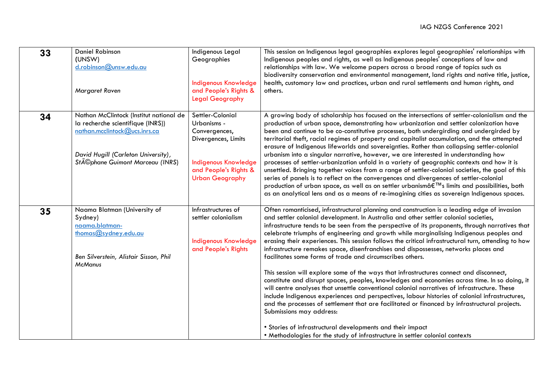| 33 | <b>Daniel Robinson</b><br>(UNSW)<br>d.robinson@unsw.edu.au<br>Margaret Raven                                                                                                            | Indigenous Legal<br>Geographies<br><b>Indigenous Knowledge</b><br>and People's Rights &<br><b>Legal Geography</b>                                         | This session on Indigenous legal geographies explores legal geographies' relationships with<br>Indigenous peoples and rights, as well as Indigenous peoples' conceptions of law and<br>relationships with law. We welcome papers across a broad range of topics such as<br>biodiversity conservation and environmental management, land rights and native title, justice,<br>health, customary law and practices, urban and rural settlements and human rights, and<br>others.                                                                                                                                                                                                                                                                                                                                                                                                                                                                                                                                                                                                                                                                                                                                                                                                                                        |
|----|-----------------------------------------------------------------------------------------------------------------------------------------------------------------------------------------|-----------------------------------------------------------------------------------------------------------------------------------------------------------|-----------------------------------------------------------------------------------------------------------------------------------------------------------------------------------------------------------------------------------------------------------------------------------------------------------------------------------------------------------------------------------------------------------------------------------------------------------------------------------------------------------------------------------------------------------------------------------------------------------------------------------------------------------------------------------------------------------------------------------------------------------------------------------------------------------------------------------------------------------------------------------------------------------------------------------------------------------------------------------------------------------------------------------------------------------------------------------------------------------------------------------------------------------------------------------------------------------------------------------------------------------------------------------------------------------------------|
| 34 | Nathan McClintock (Institut national de<br>la recherche scientifique (INRS))<br>nathan.mcclintock@ucs.inrs.ca<br>David Hugill (Carleton University),<br>Stéphane Guimont Marceau (INRS) | Settler-Colonial<br>Urbanisms -<br>Convergences,<br>Divergences, Limits<br><b>Indigenous Knowledge</b><br>and People's Rights &<br><b>Urban Geography</b> | A growing body of scholarship has focused on the intersections of settler-colonialism and the<br>production of urban space, demonstrating how urbanization and settler colonization have<br>been and continue to be co-constitutive processes, both undergirding and undergirded by<br>territorial theft, racial regimes of property and capitalist accumulation, and the attempted<br>erasure of Indigenous lifeworlds and sovereignties. Rather than collapsing settler-colonial<br>urbanism into a singular narrative, however, we are interested in understanding how<br>processes of settler-urbanization unfold in a variety of geographic contexts and how it is<br>unsettled. Bringing together voices from a range of settler-colonial societies, the goal of this<br>series of panels is to reflect on the convergences and divergences of settler-colonial<br>production of urban space, as well as on settler urbanism's limits and possibilities, both<br>as an analytical lens and as a means of re-imagining cities as sovereign Indigenous spaces.                                                                                                                                                                                                                                                    |
| 35 | Naama Blatman (University of<br>Sydney)<br>naama.blatman-<br>thomas@sydney.edu.au<br>Ben Silverstein, Alistair Sisson, Phil<br><b>McManus</b>                                           | Infrastructures of<br>settler colonialism<br><b>Indigenous Knowledge</b><br>and People's Rights                                                           | Often romanticised, infrastructural planning and construction is a leading edge of invasion<br>and settler colonial development. In Australia and other settler colonial societies,<br>infrastructure tends to be seen from the perspective of its proponents, through narratives that<br>celebrate triumphs of engineering and growth while marginalising Indigenous peoples and<br>erasing their experiences. This session follows the critical infrastructural turn, attending to how<br>infrastructure remakes space, disenfranchises and dispossesses, networks places and<br>facilitates some forms of trade and circumscribes others.<br>This session will explore some of the ways that infrastructures connect and disconnect,<br>constitute and disrupt spaces, peoples, knowledges and economies across time. In so doing, it<br>will centre analyses that unsettle conventional colonial narratives of infrastructure. These<br>include Indigenous experiences and perspectives, labour histories of colonial infrastructures,<br>and the processes of settlement that are facilitated or financed by infrastructural projects.<br>Submissions may address:<br>• Stories of infrastructural developments and their impact<br>. Methodologies for the study of infrastructure in settler colonial contexts |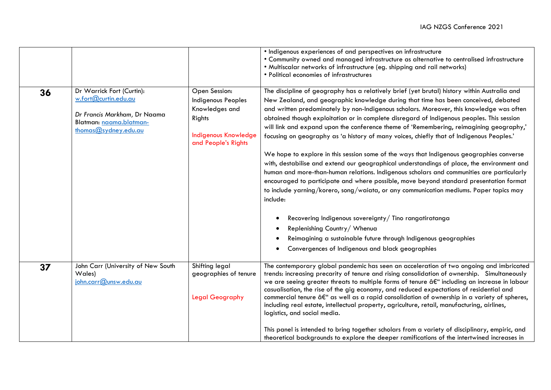|    |                                                                                                                                          |                                                                                                                       | • Indigenous experiences of and perspectives on infrastructure<br>. Community owned and managed infrastructure as alternative to centralised infrastructure<br>. Multiscalar networks of infrastructure (eg. shipping and rail networks)<br>• Political economies of infrastructures                                                                                                                                                                                                                                                                                                                                                                                                                                                                                                                                                                                                                                                                                                                                                                                                                                                                 |
|----|------------------------------------------------------------------------------------------------------------------------------------------|-----------------------------------------------------------------------------------------------------------------------|------------------------------------------------------------------------------------------------------------------------------------------------------------------------------------------------------------------------------------------------------------------------------------------------------------------------------------------------------------------------------------------------------------------------------------------------------------------------------------------------------------------------------------------------------------------------------------------------------------------------------------------------------------------------------------------------------------------------------------------------------------------------------------------------------------------------------------------------------------------------------------------------------------------------------------------------------------------------------------------------------------------------------------------------------------------------------------------------------------------------------------------------------|
| 36 | Dr Warrick Fort (Curtin):<br>w.fort@curtin.edu.au<br>Dr Francis Markham, Dr Naama<br>Blatman: naama.blatman-<br>thomas $@$ sydney.edu.au | Open Session:<br>Indigenous Peoples<br>Knowledges and<br>Rights<br><b>Indigenous Knowledge</b><br>and People's Rights | The discipline of geography has a relatively brief (yet brutal) history within Australia and<br>New Zealand, and geographic knowledge during that time has been conceived, debated<br>and written predominately by non-Indigenous scholars. Moreover, this knowledge was often<br>obtained though exploitation or in complete disregard of Indigenous peoples. This session<br>will link and expand upon the conference theme of 'Remembering, reimagining geography,'<br>focusing on geography as 'a history of many voices, chiefly that of Indigenous Peoples.'<br>We hope to explore in this session some of the ways that Indigenous geographies converse<br>with, destabilise and extend our geographical understandings of place, the environment and<br>human and more-than-human relations. Indigenous scholars and communities are particularly<br>encouraged to participate and where possible, move beyond standard presentation format<br>to include yarning/korero, song/waiata, or any communication mediums. Paper topics may<br>include:<br>Recovering Indigenous sovereignty/ Tino rangatiratanga<br>Replenishing Country / Whenua |
|    |                                                                                                                                          |                                                                                                                       | Reimagining a sustainable future through Indigenous geographies<br>Convergences of Indigenous and black geographies                                                                                                                                                                                                                                                                                                                                                                                                                                                                                                                                                                                                                                                                                                                                                                                                                                                                                                                                                                                                                                  |
| 37 | John Carr (University of New South<br>Wales)<br>john.carr@unsw.edu.au                                                                    | Shifting legal<br>geographies of tenure<br>Legal Geography                                                            | The contemporary global pandemic has seen an acceleration of two ongoing and imbricated<br>trends: increasing precarity of tenure and rising consolidation of ownership. Simultaneously<br>we are seeing greater threats to multiple forms of tenure â€" including an increase in labour<br>casualisation, the rise of the gig economy, and reduced expectations of residential and<br>commercial tenure â€" as well as a rapid consolidation of ownership in a variety of spheres,<br>including real estate, intellectual property, agriculture, retail, manufacturing, airlines,<br>logistics, and social media.                                                                                                                                                                                                                                                                                                                                                                                                                                                                                                                                   |
|    |                                                                                                                                          |                                                                                                                       | This panel is intended to bring together scholars from a variety of disciplinary, empiric, and<br>theoretical backgrounds to explore the deeper ramifications of the intertwined increases in                                                                                                                                                                                                                                                                                                                                                                                                                                                                                                                                                                                                                                                                                                                                                                                                                                                                                                                                                        |